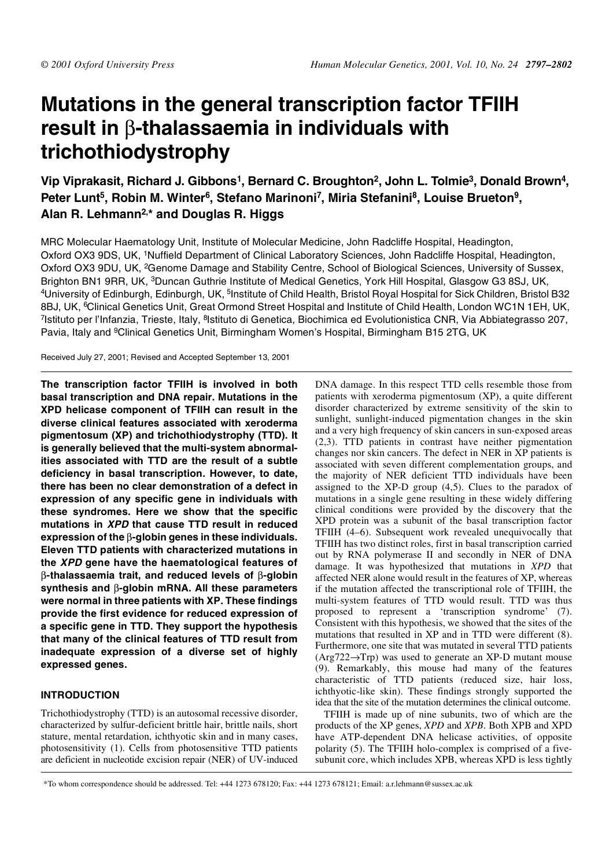# **Mutations in the general transcription factor TFIIH result in** β**-thalassaemia in individuals with trichothiodystrophy**

Vip Viprakasit, Richard J. Gibbons<sup>1</sup>, Bernard C. Broughton<sup>2</sup>, John L. Tolmie<sup>3</sup>, Donald Brown<sup>4</sup>, Peter Lunt<sup>5</sup>, Robin M. Winter<sup>6</sup>, Stefano Marinoni<sup>7</sup>, Miria Stefanini<sup>8</sup>, Louise Brueton<sup>9</sup>, **Alan R. Lehmann2,\* and Douglas R. Higgs**

MRC Molecular Haematology Unit, Institute of Molecular Medicine, John Radcliffe Hospital, Headington, Oxford OX3 9DS, UK, 1Nuffield Department of Clinical Laboratory Sciences, John Radcliffe Hospital, Headington, Oxford OX3 9DU, UK, 2Genome Damage and Stability Centre, School of Biological Sciences, University of Sussex, Brighton BN1 9RR, UK, <sup>3</sup>Duncan Guthrie Institute of Medical Genetics, York Hill Hospital, Glasgow G3 8SJ, UK, 4University of Edinburgh, Edinburgh, UK, 5Institute of Child Health, Bristol Royal Hospital for Sick Children, Bristol B32 8BJ, UK, <sup>6</sup>Clinical Genetics Unit, Great Ormond Street Hospital and Institute of Child Health, London WC1N 1EH, UK, <sup>7</sup>Istituto per l'Infanzia, Trieste, Italy, <sup>8</sup>Istituto di Genetica, Biochimica ed Evolutionistica CNR, Via Abbiategrasso 207, Pavia, Italy and <sup>9</sup>Clinical Genetics Unit, Birmingham Women's Hospital, Birmingham B15 2TG, UK

Received July 27, 2001; Revised and Accepted September 13, 2001

**The transcription factor TFIIH is involved in both basal transcription and DNA repair. Mutations in the XPD helicase component of TFIIH can result in the diverse clinical features associated with xeroderma pigmentosum (XP) and trichothiodystrophy (TTD). It is generally believed that the multi-system abnormalities associated with TTD are the result of a subtle deficiency in basal transcription. However, to date, there has been no clear demonstration of a defect in expression of any specific gene in individuals with these syndromes. Here we show that the specific mutations in XPD that cause TTD result in reduced expression of the** β**-globin genes in these individuals. Eleven TTD patients with characterized mutations in the XPD gene have the haematological features of** β**-thalassaemia trait, and reduced levels of** β**-globin synthesis and** β**-globin mRNA. All these parameters were normal in three patients with XP. These findings provide the first evidence for reduced expression of a specific gene in TTD. They support the hypothesis that many of the clinical features of TTD result from inadequate expression of a diverse set of highly expressed genes.**

# **INTRODUCTION**

Trichothiodystrophy (TTD) is an autosomal recessive disorder, characterized by sulfur-deficient brittle hair, brittle nails, short stature, mental retardation, ichthyotic skin and in many cases, photosensitivity (1). Cells from photosensitive TTD patients are deficient in nucleotide excision repair (NER) of UV-induced DNA damage. In this respect TTD cells resemble those from patients with xeroderma pigmentosum (XP), a quite different disorder characterized by extreme sensitivity of the skin to sunlight, sunlight-induced pigmentation changes in the skin and a very high frequency of skin cancers in sun-exposed areas (2,3). TTD patients in contrast have neither pigmentation changes nor skin cancers. The defect in NER in XP patients is associated with seven different complementation groups, and the majority of NER deficient TTD individuals have been assigned to the XP-D group (4,5). Clues to the paradox of mutations in a single gene resulting in these widely differing clinical conditions were provided by the discovery that the XPD protein was a subunit of the basal transcription factor TFIIH (4–6). Subsequent work revealed unequivocally that TFIIH has two distinct roles, first in basal transcription carried out by RNA polymerase II and secondly in NER of DNA damage. It was hypothesized that mutations in *XPD* that affected NER alone would result in the features of XP, whereas if the mutation affected the transcriptional role of TFIIH, the multi-system features of TTD would result. TTD was thus proposed to represent a 'transcription syndrome' (7). Consistent with this hypothesis, we showed that the sites of the mutations that resulted in XP and in TTD were different (8). Furthermore, one site that was mutated in several TTD patients  $(Arg722 \rightarrow Trp)$  was used to generate an XP-D mutant mouse (9). Remarkably, this mouse had many of the features characteristic of TTD patients (reduced size, hair loss, ichthyotic-like skin). These findings strongly supported the idea that the site of the mutation determines the clinical outcome.

TFIIH is made up of nine subunits, two of which are the products of the XP genes, *XPD* and *XPB*. Both XPB and XPD have ATP-dependent DNA helicase activities, of opposite polarity (5). The TFIIH holo-complex is comprised of a fivesubunit core, which includes XPB, whereas XPD is less tightly

\*To whom correspondence should be addressed. Tel: +44 1273 678120; Fax: +44 1273 678121; Email: a.r.lehmann@sussex.ac.uk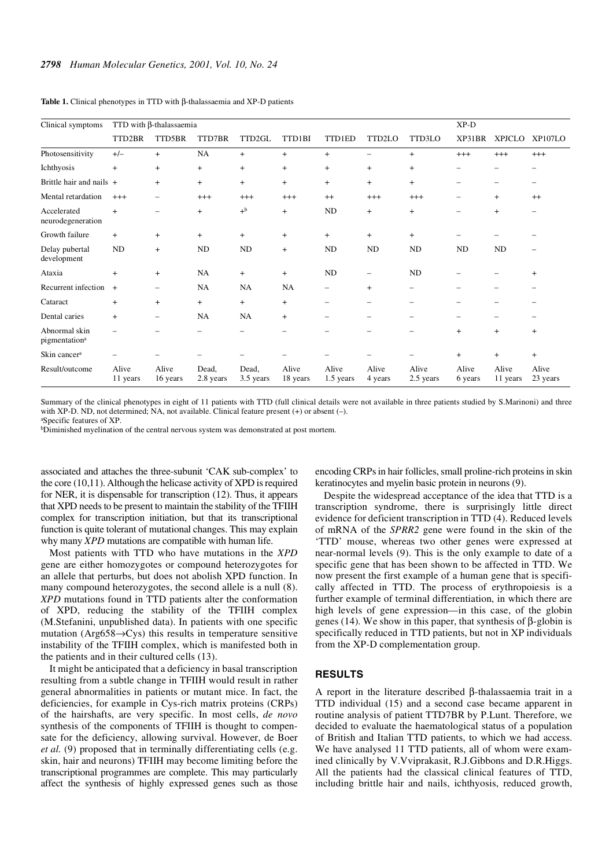| Clinical symptoms                          | TTD with $\beta$ -thalassaemia |                          |                    |                    |                   |                          |                          |                          | $XP-D$                   |                   |                   |
|--------------------------------------------|--------------------------------|--------------------------|--------------------|--------------------|-------------------|--------------------------|--------------------------|--------------------------|--------------------------|-------------------|-------------------|
|                                            | TTD2BR                         | TTD5BR                   | TTD7BR             | TTD2GL             | TTD1BI            | <b>TTD1ED</b>            | TTD2LO                   | TTD3LO                   | XP31BR                   | <b>XPJCLO</b>     | XP107LO           |
| Photosensitivity                           | $+/-$                          | $+$                      | <b>NA</b>          | $+$                | $^{+}$            | $\ddot{}$                | -                        | $^{+}$                   | $^{+++}$                 | $+++$             | $^{+++}$          |
| Ichthyosis                                 | $\ddot{}$                      | $\ddot{}$                | $+$                | $+$                | $\ddot{}$         | $\ddot{}$                | $\ddot{}$                | $^{+}$                   |                          |                   |                   |
| Brittle hair and nails +                   |                                | $^{+}$                   | $+$                | $+$                | $+$               | $^{+}$                   | $^{+}$                   | $\ddot{}$                |                          | $\equiv$          |                   |
| Mental retardation                         | $^{+++}$                       | $\overline{\phantom{0}}$ | $^{+++}$           | $^{+++}$           | $^{+++}$          | $^{++}$                  | $^{+++}$                 | $^{+++}$                 |                          | $^{+}$            | $^{++}$           |
| Accelerated<br>neurodegeneration           | $\ddot{}$                      |                          | $+$                | $+^{\rm b}$        | $+$               | ND                       | $\ddot{}$                | $\ddot{}$                |                          | $\ddot{}$         |                   |
| Growth failure                             | $+$                            | $^{+}$                   | $+$                | $+$                | $\ddot{}$         | $+$                      | $^{+}$                   | $\ddot{}$                |                          |                   |                   |
| Delay pubertal<br>development              | ND                             | $\ddot{}$                | ND                 | ND                 | $+$               | ND                       | ND                       | ND                       | ND                       | ND                |                   |
| Ataxia                                     | $\ddot{}$                      | $^{+}$                   | <b>NA</b>          | $+$                | $+$               | ND                       | -                        | ND                       |                          |                   | $+$               |
| Recurrent infection                        | $+$                            | $\overline{\phantom{0}}$ | <b>NA</b>          | <b>NA</b>          | NA                | $\overline{\phantom{0}}$ | $\ddot{}$                | -                        |                          |                   |                   |
| Cataract                                   | $\ddot{}$                      | $\ddot{}$                | $+$                | $+$                | $\ddot{}$         | -                        | -                        | $\overline{\phantom{0}}$ |                          |                   |                   |
| Dental caries                              | $\ddot{}$                      | $\overline{\phantom{0}}$ | <b>NA</b>          | <b>NA</b>          | $\ddot{}$         | $\overline{\phantom{0}}$ | $\overline{\phantom{0}}$ | $\overline{\phantom{0}}$ | $\overline{\phantom{0}}$ |                   |                   |
| Abnormal skin<br>pigmentation <sup>a</sup> | $\overline{\phantom{0}}$       |                          |                    |                    |                   |                          |                          |                          | $+$                      | $\ddot{}$         | $\ddot{}$         |
| Skin cancer <sup>a</sup>                   |                                |                          |                    |                    |                   |                          |                          |                          | $\ddot{}$                | $^{+}$            | $+$               |
| Result/outcome                             | Alive<br>11 years              | Alive<br>16 years        | Dead,<br>2.8 years | Dead,<br>3.5 years | Alive<br>18 years | Alive<br>1.5 years       | Alive<br>4 years         | Alive<br>2.5 years       | Alive<br>6 years         | Alive<br>11 years | Alive<br>23 years |

**Table 1.** Clinical phenotypes in TTD with β-thalassaemia and XP-D patients

Summary of the clinical phenotypes in eight of 11 patients with TTD (full clinical details were not available in three patients studied by S.Marinoni) and three with XP-D. ND, not determined; NA, not available. Clinical feature present (+) or absent (-). a Specific features of XP.

bDiminished myelination of the central nervous system was demonstrated at post mortem.

associated and attaches the three-subunit 'CAK sub-complex' to the core (10,11). Although the helicase activity of XPD is required for NER, it is dispensable for transcription (12). Thus, it appears that XPD needs to be present to maintain the stability of the TFIIH complex for transcription initiation, but that its transcriptional function is quite tolerant of mutational changes. This may explain why many *XPD* mutations are compatible with human life.

Most patients with TTD who have mutations in the *XPD* gene are either homozygotes or compound heterozygotes for an allele that perturbs, but does not abolish XPD function. In many compound heterozygotes, the second allele is a null  $(8)$ . *XPD* mutations found in TTD patients alter the conformation of XPD, reducing the stability of the TFIIH complex (M.Stefanini, unpublished data). In patients with one specific mutation (Arg $658 \rightarrow Cys$ ) this results in temperature sensitive instability of the TFIIH complex, which is manifested both in the patients and in their cultured cells (13).

It might be anticipated that a deficiency in basal transcription resulting from a subtle change in TFIIH would result in rather general abnormalities in patients or mutant mice. In fact, the deficiencies, for example in Cys-rich matrix proteins (CRPs) of the hairshafts, are very specific. In most cells, *de novo* synthesis of the components of TFIIH is thought to compensate for the deficiency, allowing survival. However, de Boer *et al.* (9) proposed that in terminally differentiating cells (e.g. skin, hair and neurons) TFIIH may become limiting before the transcriptional programmes are complete. This may particularly affect the synthesis of highly expressed genes such as those encoding CRPs in hair follicles, small proline-rich proteins in skin keratinocytes and myelin basic protein in neurons (9).

Despite the widespread acceptance of the idea that TTD is a transcription syndrome, there is surprisingly little direct evidence for deficient transcription in TTD (4). Reduced levels of mRNA of the *SPRR2* gene were found in the skin of the 'TTD' mouse, whereas two other genes were expressed at near-normal levels (9). This is the only example to date of a specific gene that has been shown to be affected in TTD. We now present the first example of a human gene that is specifically affected in TTD. The process of erythropoiesis is a further example of terminal differentiation, in which there are high levels of gene expression—in this case, of the globin genes (14). We show in this paper, that synthesis of β-globin is specifically reduced in TTD patients, but not in XP individuals from the XP-D complementation group.

## **RESULTS**

A report in the literature described β-thalassaemia trait in a TTD individual (15) and a second case became apparent in routine analysis of patient TTD7BR by P.Lunt. Therefore, we decided to evaluate the haematological status of a population of British and Italian TTD patients, to which we had access. We have analysed 11 TTD patients, all of whom were examined clinically by V.Vviprakasit, R.J.Gibbons and D.R.Higgs. All the patients had the classical clinical features of TTD, including brittle hair and nails, ichthyosis, reduced growth,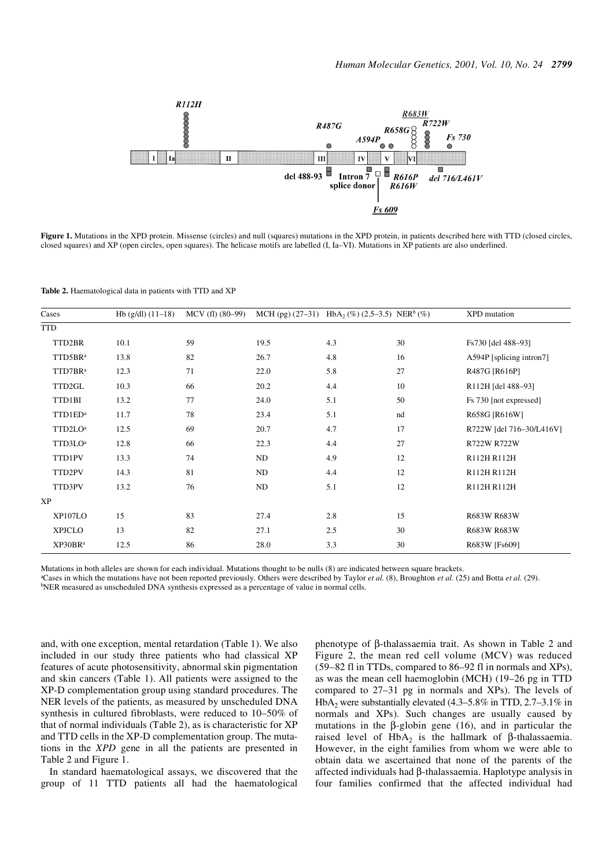

Figure 1. Mutations in the XPD protein. Missense (circles) and null (squares) mutations in the XPD protein, in patients described here with TTD (closed circles, closed squares) and XP (open circles, open squares). The helicase motifs are labelled (I, Ia–VI). Mutations in XP patients are also underlined.

**Table 2.** Haematological data in patients with TTD and XP

| Cases               | $Hb$ (g/dl) $(11-18)$ | $MCV$ (fl) $(80-99)$ |      | MCH (pg) $(27-31)$ HbA <sub>2</sub> (%) $(2.5-3.5)$ NER <sup>b</sup> (%) |    | <b>XPD</b> mutation      |
|---------------------|-----------------------|----------------------|------|--------------------------------------------------------------------------|----|--------------------------|
| <b>TTD</b>          |                       |                      |      |                                                                          |    |                          |
| TTD2BR              | 10.1                  | 59                   | 19.5 | 4.3                                                                      | 30 | Fs730 [del 488-93]       |
| TTD5BRa             | 13.8                  | 82                   | 26.7 | 4.8                                                                      | 16 | A594P [splicing intron7] |
| TTD7BR <sup>a</sup> | 12.3                  | 71                   | 22.0 | 5.8                                                                      | 27 | R487G [R616P]            |
| TTD2GL              | 10.3                  | 66                   | 20.2 | 4.4                                                                      | 10 | R112H [del 488-93]       |
| TTD1BI              | 13.2                  | 77                   | 24.0 | 5.1                                                                      | 50 | Fs 730 [not expressed]   |
| TTD1ED <sup>a</sup> | 11.7                  | 78                   | 23.4 | 5.1                                                                      | nd | R658G [R616W]            |
| TTD2LO <sup>a</sup> | 12.5                  | 69                   | 20.7 | 4.7                                                                      | 17 | R722W [del 716-30/L416V] |
| TTD3LO <sup>a</sup> | 12.8                  | 66                   | 22.3 | 4.4                                                                      | 27 | R722W R722W              |
| TTD1PV              | 13.3                  | 74                   | ND   | 4.9                                                                      | 12 | R112H R112H              |
| TTD2PV              | 14.3                  | 81                   | ND   | 4.4                                                                      | 12 | R112H R112H              |
| TTD3PV              | 13.2                  | 76                   | ND   | 5.1                                                                      | 12 | R112H R112H              |
| <b>XP</b>           |                       |                      |      |                                                                          |    |                          |
| XP107LO             | 15                    | 83                   | 27.4 | 2.8                                                                      | 15 | R683W R683W              |
| <b>XPJCLO</b>       | 13                    | 82                   | 27.1 | 2.5                                                                      | 30 | R683W R683W              |
| XP30BR <sup>a</sup> | 12.5                  | 86                   | 28.0 | 3.3                                                                      | 30 | R683W [Fs609]            |

Mutations in both alleles are shown for each individual. Mutations thought to be nulls (8) are indicated between square brackets.

a Cases in which the mutations have not been reported previously. Others were described by Taylor *et al.* (8), Broughton *et al.* (25) and Botta *et al.* (29). bNER measured as unscheduled DNA synthesis expressed as a percentage of value in normal cells.

and, with one exception, mental retardation (Table 1). We also included in our study three patients who had classical XP features of acute photosensitivity, abnormal skin pigmentation and skin cancers (Table 1). All patients were assigned to the XP-D complementation group using standard procedures. The NER levels of the patients, as measured by unscheduled DNA synthesis in cultured fibroblasts, were reduced to 10–50% of that of normal individuals (Table 2), as is characteristic for XP and TTD cells in the XP-D complementation group. The mutations in the *XPD* gene in all the patients are presented in Table 2 and Figure 1.

In standard haematological assays, we discovered that the group of 11 TTD patients all had the haematological

phenotype of β-thalassaemia trait. As shown in Table 2 and Figure 2, the mean red cell volume (MCV) was reduced (59–82 fl in TTDs, compared to 86–92 fl in normals and XPs), as was the mean cell haemoglobin (MCH) (19–26 pg in TTD compared to 27–31 pg in normals and XPs). The levels of HbA<sub>2</sub> were substantially elevated  $(4.3-5.8\%$  in TTD,  $2.7-3.1\%$  in normals and XPs). Such changes are usually caused by mutations in the β-globin gene (16), and in particular the raised level of HbA<sub>2</sub> is the hallmark of β-thalassaemia. However, in the eight families from whom we were able to obtain data we ascertained that none of the parents of the affected individuals had β-thalassaemia. Haplotype analysis in four families confirmed that the affected individual had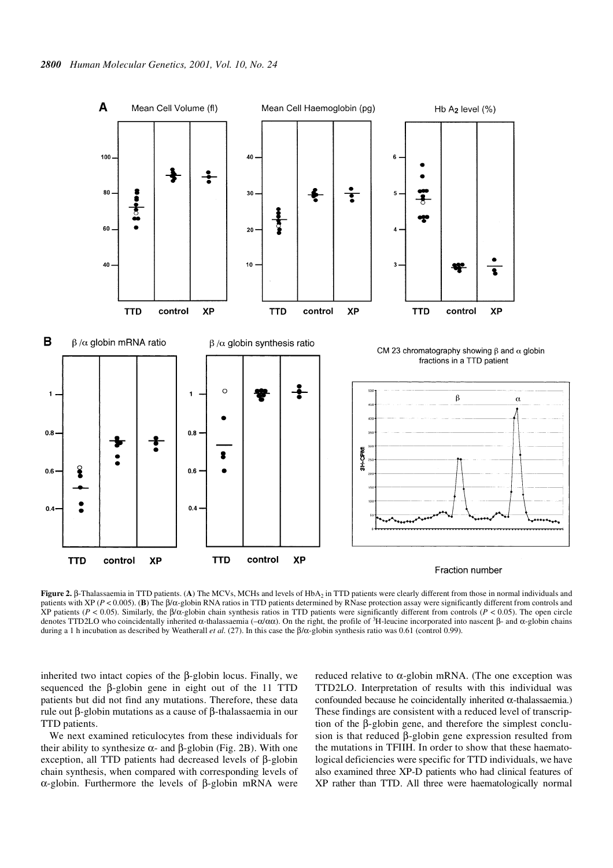

**Figure 2.** β-Thalassaemia in TTD patients. (**A**) The MCVs, MCHs and levels of HbA<sub>2</sub> in TTD patients were clearly different from those in normal individuals and patients with XP (*P* < 0.005). (**B**) The β/α-globin RNA ratios in TTD patients determined by RNase protection assay were significantly different from controls and XP patients (*P* < 0.05). Similarly, the β/α-globin chain synthesis ratios in TTD patients were significantly different from controls (*P* < 0.05). The open circle denotes TTD2LO who coincidentally inherited α-thalassaemia ( $-\alpha/\alpha\alpha$ ). On the right, the profile of <sup>3</sup>H-leucine incorporated into nascent β- and α-globin chains during a 1 h incubation as described by Weatherall *et al.* (27). In this case the β/α-globin synthesis ratio was 0.61 (control 0.99).

inherited two intact copies of the β-globin locus. Finally, we sequenced the β-globin gene in eight out of the 11 TTD patients but did not find any mutations. Therefore, these data rule out β-globin mutations as a cause of β-thalassaemia in our TTD patients.

We next examined reticulocytes from these individuals for their ability to synthesize  $\alpha$ - and  $\beta$ -globin (Fig. 2B). With one exception, all TTD patients had decreased levels of β-globin chain synthesis, when compared with corresponding levels of α-globin. Furthermore the levels of β-globin mRNA were reduced relative to  $\alpha$ -globin mRNA. (The one exception was TTD2LO. Interpretation of results with this individual was confounded because he coincidentally inherited α-thalassaemia.) These findings are consistent with a reduced level of transcription of the β-globin gene, and therefore the simplest conclusion is that reduced β-globin gene expression resulted from the mutations in TFIIH. In order to show that these haematological deficiencies were specific for TTD individuals, we have also examined three XP-D patients who had clinical features of XP rather than TTD. All three were haematologically normal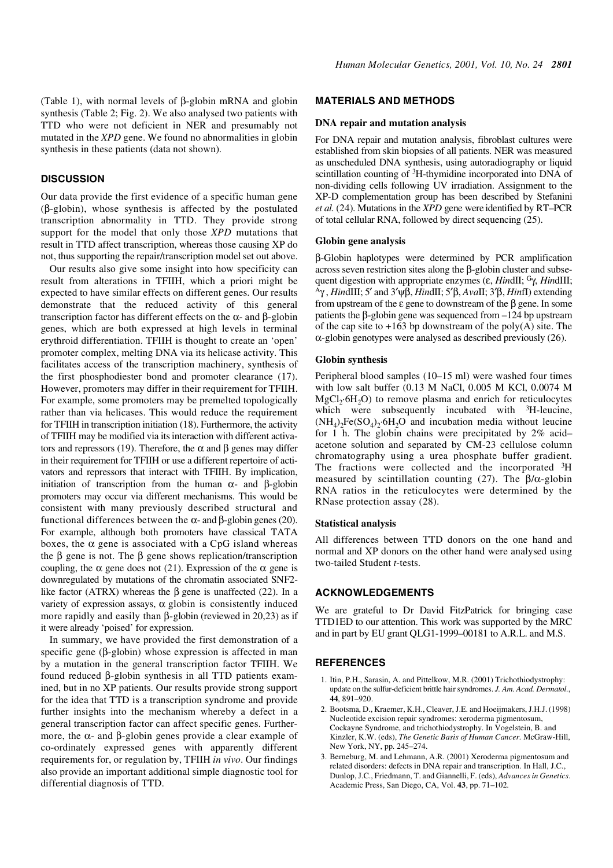(Table 1), with normal levels of β-globin mRNA and globin synthesis (Table 2; Fig. 2). We also analysed two patients with TTD who were not deficient in NER and presumably not mutated in the *XPD* gene. We found no abnormalities in globin synthesis in these patients (data not shown).

## **DISCUSSION**

Our data provide the first evidence of a specific human gene (β-globin), whose synthesis is affected by the postulated transcription abnormality in TTD. They provide strong support for the model that only those *XPD* mutations that result in TTD affect transcription, whereas those causing XP do not, thus supporting the repair/transcription model set out above.

Our results also give some insight into how specificity can result from alterations in TFIIH, which a priori might be expected to have similar effects on different genes. Our results demonstrate that the reduced activity of this general transcription factor has different effects on the α- and β-globin genes, which are both expressed at high levels in terminal erythroid differentiation. TFIIH is thought to create an 'open' promoter complex, melting DNA via its helicase activity. This facilitates access of the transcription machinery, synthesis of the first phosphodiester bond and promoter clearance (17). However, promoters may differ in their requirement for TFIIH. For example, some promoters may be premelted topologically rather than via helicases. This would reduce the requirement for TFIIH in transcription initiation (18). Furthermore, the activity of TFIIH may be modified via its interaction with different activators and repressors (19). Therefore, the  $\alpha$  and  $\beta$  genes may differ in their requirement for TFIIH or use a different repertoire of activators and repressors that interact with TFIIH. By implication, initiation of transcription from the human  $\alpha$ - and β-globin promoters may occur via different mechanisms. This would be consistent with many previously described structural and functional differences between the α- and β-globin genes (20). For example, although both promoters have classical TATA boxes, the  $\alpha$  gene is associated with a CpG island whereas the β gene is not. The β gene shows replication/transcription coupling, the  $\alpha$  gene does not (21). Expression of the  $\alpha$  gene is downregulated by mutations of the chromatin associated SNF2 like factor (ATRX) whereas the β gene is unaffected (22). In a variety of expression assays,  $\alpha$  globin is consistently induced more rapidly and easily than β-globin (reviewed in 20,23) as if it were already 'poised' for expression.

In summary, we have provided the first demonstration of a specific gene (β-globin) whose expression is affected in man by a mutation in the general transcription factor TFIIH. We found reduced β-globin synthesis in all TTD patients examined, but in no XP patients. Our results provide strong support for the idea that TTD is a transcription syndrome and provide further insights into the mechanism whereby a defect in a general transcription factor can affect specific genes. Furthermore, the α- and β-globin genes provide a clear example of co-ordinately expressed genes with apparently different requirements for, or regulation by, TFIIH *in vivo*. Our findings also provide an important additional simple diagnostic tool for differential diagnosis of TTD.

## **MATERIALS AND METHODS**

#### **DNA repair and mutation analysis**

For DNA repair and mutation analysis, fibroblast cultures were established from skin biopsies of all patients. NER was measured as unscheduled DNA synthesis, using autoradiography or liquid scintillation counting of 3H-thymidine incorporated into DNA of non-dividing cells following UV irradiation. Assignment to the XP-D complementation group has been described by Stefanini *et al.* (24). Mutations in the *XPD* gene were identified by RT–PCR of total cellular RNA, followed by direct sequencing (25).

#### **Globin gene analysis**

β-Globin haplotypes were determined by PCR amplification across seven restriction sites along the β-globin cluster and subsequent digestion with appropriate enzymes (ε, *Hin*dII; Gγ, *Hin*dIII; <sup>A</sup>γ , *Hin*dIII; 5′ and 3′ψβ, *Hin*dII; 5′β, *Ava*II; 3′β, *Hin*fI) extending from upstream of the ε gene to downstream of the β gene. In some patients the β-globin gene was sequenced from –124 bp upstream of the cap site to  $+163$  bp downstream of the poly(A) site. The  $\alpha$ -globin genotypes were analysed as described previously (26).

#### **Globin synthesis**

Peripheral blood samples (10–15 ml) were washed four times with low salt buffer (0.13 M NaCl, 0.005 M KCl, 0.0074 M  $MgCl<sub>2</sub>·6H<sub>2</sub>O$ ) to remove plasma and enrich for reticulocytes which were subsequently incubated with <sup>3</sup>H-leucine,  $(NH_4)$ <sub>2</sub>Fe(SO<sub>4</sub>)<sub>2</sub>·6H<sub>2</sub>O and incubation media without leucine for 1 h. The globin chains were precipitated by 2% acid– acetone solution and separated by CM-23 cellulose column chromatography using a urea phosphate buffer gradient. The fractions were collected and the incorporated  ${}^{3}H$ measured by scintillation counting (27). The  $\beta/\alpha$ -globin RNA ratios in the reticulocytes were determined by the RNase protection assay (28).

## **Statistical analysis**

All differences between TTD donors on the one hand and normal and XP donors on the other hand were analysed using two-tailed Student *t*-tests.

# **ACKNOWLEDGEMENTS**

We are grateful to Dr David FitzPatrick for bringing case TTD1ED to our attention. This work was supported by the MRC and in part by EU grant QLG1-1999–00181 to A.R.L. and M.S.

## **REFERENCES**

- 1. Itin, P.H., Sarasin, A. and Pittelkow, M.R. (2001) Trichothiodystrophy: update on the sulfur-deficient brittle hair syndromes. *J. Am. Acad. Dermatol.*, **44**, 891–920.
- 2. Bootsma, D., Kraemer, K.H., Cleaver, J.E. and Hoeijmakers, J.H.J. (1998) Nucleotide excision repair syndromes: xeroderma pigmentosum, Cockayne Syndrome, and trichothiodystrophy. In Vogelstein, B. and Kinzler, K.W. (eds), *The Genetic Basis of Human Cancer.* McGraw-Hill, New York, NY, pp. 245–274.
- 3. Berneburg, M. and Lehmann, A.R. (2001) Xeroderma pigmentosum and related disorders: defects in DNA repair and transcription. In Hall, J.C., Dunlop, J.C., Friedmann, T. and Giannelli, F. (eds), *Advances in Genetics*. Academic Press, San Diego, CA, Vol. **43**, pp. 71–102.